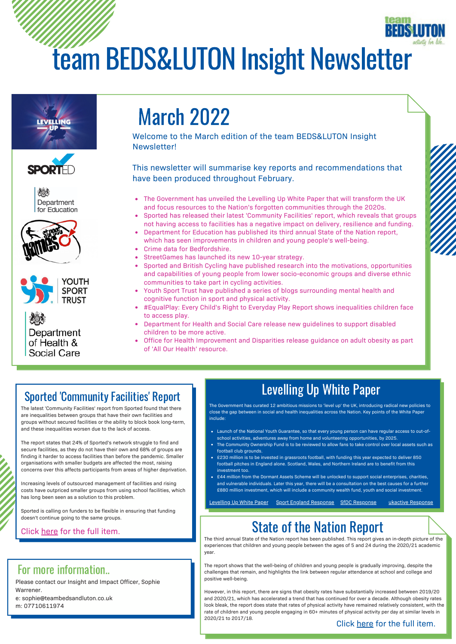# team BEDS&LUTON Insight Newsletter





Department for Education





Department of Health & Social Care

## March 2022

Welcome to the March edition of the team BEDS&LUTON Insight Newsletter!

This newsletter will summarise key reports and recommendations that have been produced throughout February.

- The Government has unveiled the Levelling Up White Paper that will transform the UK and focus resources to the Nation's forgotten communities through the 2020s.
- Sported has released their latest 'Community Facilities' report, which reveals that groups not having access to facilities has a negative impact on delivery, resilience and funding.
- Department for Education has published its third annual State of the Nation report, which has seen improvements in children and young people's well-being.
- Crime data for Bedfordshire.
- StreetGames has launched its new 10-year strategy.
- Sported and British Cycling have published research into the motivations, opportunities and capabilities of young people from lower socio-economic groups and diverse ethnic communities to take part in cycling activities.
- Youth Sport Trust have published a series of blogs surrounding mental health and cognitive function in sport and physical activity.
- #EqualPlay: Every Child's Right to Everyday Play Report shows inequalities children face to access play.
- Department for Health and Social Care release new guidelines to support disabled children to be more active.
- Office for Health Improvement and Disparities release guidance on adult obesity as part of 'All Our Health' resource.

### Sported 'Community Facilities' Report

The latest 'Community Facilities' report from Sported found that there are inequalities between groups that have their own facilities and groups without secured facilities or the ability to block book long-term, and these inequalities worsen due to the lack of access.

The report states that 24% of Sported's network struggle to find and secure facilities, as they do not have their own and 68% of groups are finding it harder to access facilities than before the pandemic. Smaller organisations with smaller budgets are affected the most, raising concerns over this affects participants from areas of higher deprivation.

Increasing levels of outsourced management of facilities and rising costs have outpriced smaller groups from using school facilities, which has long been seen as a solution to this problem.

Sported is calling on funders to be flexible in ensuring that funding doesn't continue going to the same groups.

#### Click [here](https://sported.org.uk/lack-of-facilities-failing-community-sports-groups/) for the full item.

### For more information..

Please contact our Insight and Impact Officer, Sophie Warrener.

e: sophie@teambedsandluton.co.uk m: 07710611974

## Levelling Up White Paper

The Government has curated 12 ambitious missions to 'level up' the UK, introducing radical new policies to close the gap between in social and health inequalities across the Nation. Key points of the White Paper include:

- Launch of the National Youth Guarantee, so that every young person can have regular access to out-ofschool activities, adventures away from home and volunteering opportunities, by 2025.
- The Community Ownership Fund is to be reviewed to allow fans to take control over local assets such as football club grounds.
- £230 million is to be invested in grassroots football, with funding this year expected to deliver 850 football pitches in England alone. Scotland, Wales, and Northern Ireland are to benefit from this investment too.
- £44 million from the Dormant Assets Scheme will be unlocked to support social enterprises, charities, and vulnerable individuals. Later this year, there will be a consultation on the best causes for a further £880 million investment, which will include a community wealth fund, youth and social investment.

Levellin<u>g Up White Paper Sport England [Response](https://www.ukactive.com/news/physical-activity-sector-has-essential-role-to-play-in-governments-levelling-up-ambitions/) SfDC Response sukactive Response</u>

## State of the Nation Report

The third annual State of the Nation report has been published. This report gives an in-depth picture of the experiences that children and young people between the ages of 5 and 24 during the 2020/21 academic year.

The report shows that the well-being of children and young people is gradually improving, despite the challenges that remain, and highlights the link between regular attendance at school and college and positive well-being.

However, in this report, there are signs that obesity rates have substantially increased between 2019/20 and 2020/21, which has accelerated a trend that has continued for over a decade. Although obesity rates look bleak, the report does state that rates of physical activity have remained relatively consistent, with the rate of children and young people engaging in 60+ minutes of physical activity per day at similar levels in 2020/21 to 2017/18.

#### Click [here](https://www.gov.uk/government/publications/state-of-the-nation-2021-children-and-young-peoples-wellbeing) for the full item.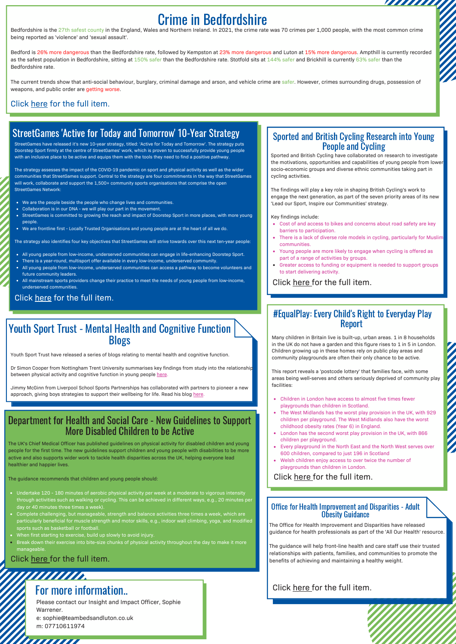## Crime in Bedfordshire

Bedfordshire is the 27th safest county in the England, Wales and Northern Ireland. In 2021, the crime rate was 70 crimes per 1,000 people, with the most common crime being reported as 'violence' and 'sexual assault'.

Bedford is 26% more dangerous than the Bedfordshire rate, followed by Kempston at 23% more dangerous and Luton at 15% more dangerous. Ampthill is currently recorded as the safest population in Bedfordshire, sitting at 150% safer than the Bedfordshire rate. Stotfold sits at 144% safer and Brickhill is currently 63% safer than the Bedfordshire rate.

The current trends show that anti-social behaviour, burglary, criminal damage and arson, and vehicle crime are safer. However, crimes surrounding drugs, possession of weapons, and public order are getting worse.

#### Click [here](https://crimerate.co.uk/bedfordshire) for the full item.

### StreetGames 'Active for Today and Tomorrow' 10-Year Strategy

StreetGames have released it's new 10-year strategy, titled: 'Active for Today and Tomorrow'. The strategy puts Doorstep Sport firmly at the centre of StreetGames' work, which is proven to successfully provide young people with an inclusive place to be active and equips them with the tools they need to find a positive pathway.

The strategy assesses the impact of the COVID-19 pandemic on sport and physical activity as well as the wider communities that StreetGames support. Central to the strategy are four commitments in the way that StreetGames will work, collaborate and support the 1,500+ community sports organisations that comprise the open StreetGames Network:

- We are the people beside the people who change lives and communities.
- Collaboration is in our DNA we will play our part in the movement.
- StreetGames is committed to growing the reach and impact of Doorstep Sport in more places, with more young people.

We are frontline first - Locally Trusted Organisations and young people are at the heart of all we do.

The strategy also identifies four key objectives that StreetGames will strive towards over this next ten-year people:

- All young people from low-income, underserved communities can engage in life-enhancing Doorstep Sport.
- There is a year-round, multisport offer available in every low-income, underserved community.
- All young people from low-income, underserved communities can access a pathway to become volunteers and future community leaders.
- All mainstream sports providers change their practice to meet the needs of young people from low-income, underserved communities.

#### Click [here](https://www.streetgames.org/news-2/streetgames-charts-course-for-future-with-launch-of-new-10-year-strategy) for the full item.

#### Youth Sport Trust - Mental Health and Cognitive Function **Blogs**

Youth Sport Trust have released a series of blogs relating to mental health and cognitive function.

Dr Simon Cooper from Nottingham Trent University summarises key findings from study into the relationship between physical activity and cognitive function in young people [here](https://www.youthsporttrust.org/news-insight/blogs/how-physical-activity-links-to-cognitive-function-and-learning-in-young-people).

Jimmy McGinn from Liverpool School Sports Partnerships has collaborated with partners to pioneer a new approach, giving boys strategies to support their wellbeing for life. Read his blog here

#### Department for Health and Social Care - New Guidelines to Support More Disabled Children to be Active

The UK's Chief Medical Officer has published guidelines on physical activity for disabled children and young people for the first time. The new guidelines support children and young people with disabilities to be more active and also supports wider work to tackle health disparities across the UK, helping everyone lead healthier and happier lives.

The guidance recommends that children and young people should:

- day or 40 minutes three times a week).
- Complete challenging, but manageable, strength and balance activities three times a week, which are particularly beneficial for muscle strength and motor skills, e.g., indoor wall climbing, yoga, and modified sports such as basketball or football.
- When first starting to exercise, build up slowly to avoid injury.
- Break down their exercise into bite-size chunks of physical activity throughout the day to make it more manageable.

#### Click [here](https://www.gov.uk/government/news/new-guidelines-to-support-disabled-children-to-be-more-active) for the full item.

*muun* 

#### //////////**//** For more information..

Please contact our Insight and Impact Officer, Sophie Warrener. e: sophie@teambedsandluton.co.uk m: 07710611974

#### Sported and British Cycling Research into Young People and Cycling

,,,,,,,,,,,,

Sported and British Cycling have collaborated on research to investigate the motivations, opportunities and capabilities of young people from lower socio-economic groups and diverse ethnic communities taking part in cycling activities.

The findings will play a key role in shaping British Cycling's work to engage the next generation, as part of the seven priority areas of its new 'Lead our Sport, Inspire our Communities' strategy.

#### Key findings include:

- Cost of and access to bikes and concerns about road safety are key barriers to participation.
- There is a lack of diverse role models in cycling, particularly for Muslim communities.
- Young people are more likely to engage when cycling is offered as part of a range of activities by groups.
- Greater access to funding or equipment is needed to support groups to start delivering activity.

#### Click [here](https://www.britishcycling.org.uk/article/British-Cycling-partners-with-Sported-new-research-young-people) for the full item.

#### #EqualPlay: Every Child's Right to Everyday Play Report

Many children in Britain live is built-up, urban areas. 1 in 8 households in the UK do not have a garden and this figure rises to 1 in 5 in London. Children growing up in these homes rely on public play areas and community playgrounds are often their only chance to be active.

This report reveals a 'postcode lottery' that families face, with some areas being well-serves and others seriously deprived of community play facilities:

- Children in London have access to almost five times fewer playgrounds than children in Scotland.
- The West Midlands has the worst play provision in the UK, with 929 children per playground. The West Midlands also have the worst childhood obesity rates (Year 6) in England.
- London has the second worst play provision in the UK, with 866 children per playground.
- Every playground in the North East and the North West serves over 600 children, compared to just 196 in Scotland
- Welsh children enjoy access to over twice the number of playgrounds than children in London.

#### Click [here](https://www.api-play.org/wp-content/uploads/sites/4/2022/02/EqualPlay-Report.pdf) for the full item.

#### Office for Health Improvement and Disparities - Adult Obesity Guidance

The Office for Health Improvement and Disparities have released guidance for health professionals as part of the 'All Our Health' resource.

The guidance will help front-line health and care staff use their trusted relationships with patients, families, and communities to promote the benefits of achieving and maintaining a healthy weight.

#### Click [here](https://www.gov.uk/government/publications/adult-obesity-applying-all-our-health/adult-obesity-applying-all-our-health) for the full item.